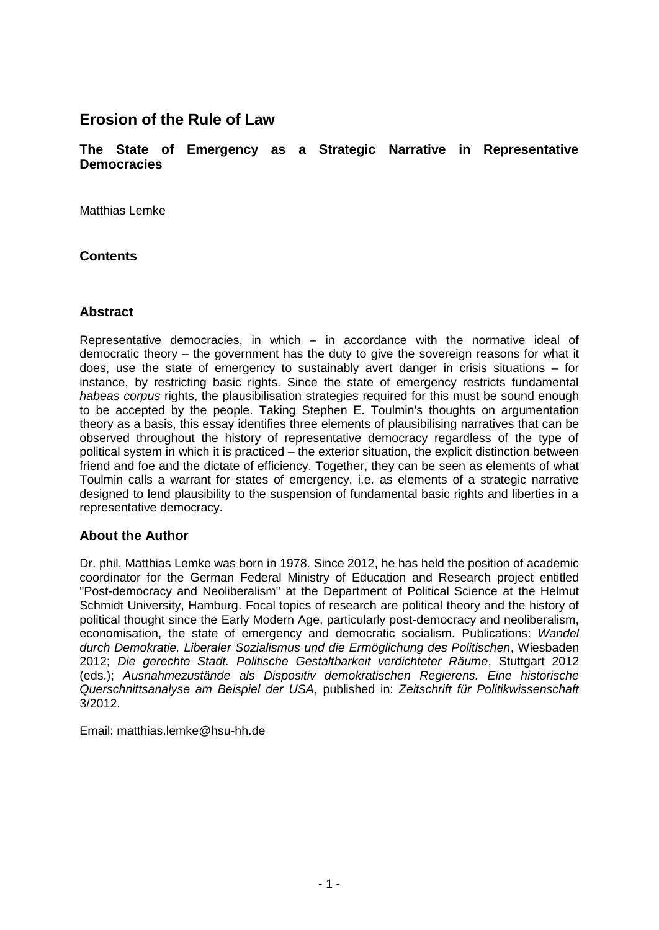# **Erosion of the Rule of Law**

**The State of Emergency as a Strategic Narrative in Representative Democracies**

Matthias Lemke

# **Contents**

### **Abstract**

Representative democracies, in which – in accordance with the normative ideal of democratic theory – the government has the duty to give the sovereign reasons for what it does, use the state of emergency to sustainably avert danger in crisis situations – for instance, by restricting basic rights. Since the state of emergency restricts fundamental *habeas corpus* rights, the plausibilisation strategies required for this must be sound enough to be accepted by the people. Taking Stephen E. Toulmin's thoughts on argumentation theory as a basis, this essay identifies three elements of plausibilising narratives that can be observed throughout the history of representative democracy regardless of the type of political system in which it is practiced – the exterior situation, the explicit distinction between friend and foe and the dictate of efficiency. Together, they can be seen as elements of what Toulmin calls a warrant for states of emergency, i.e. as elements of a strategic narrative designed to lend plausibility to the suspension of fundamental basic rights and liberties in a representative democracy.

### **About the Author**

Dr. phil. Matthias Lemke was born in 1978. Since 2012, he has held the position of academic coordinator for the German Federal Ministry of Education and Research project entitled "Post-democracy and Neoliberalism" at the Department of Political Science at the Helmut Schmidt University, Hamburg. Focal topics of research are political theory and the history of political thought since the Early Modern Age, particularly post-democracy and neoliberalism, economisation, the state of emergency and democratic socialism. Publications: *Wandel durch Demokratie. Liberaler Sozialismus und die Ermöglichung des Politischen*, Wiesbaden 2012; *Die gerechte Stadt. Politische Gestaltbarkeit verdichteter Räume*, Stuttgart 2012 (eds.); *Ausnahmezustände als Dispositiv demokratischen Regierens. Eine historische Querschnittsanalyse am Beispiel der USA*, published in: *Zeitschrift für Politikwissenschaft* 3/2012.

Email: [matthias.lemke@hsu-hh.de](mailto:matthias.lemke@hsu-hh.de)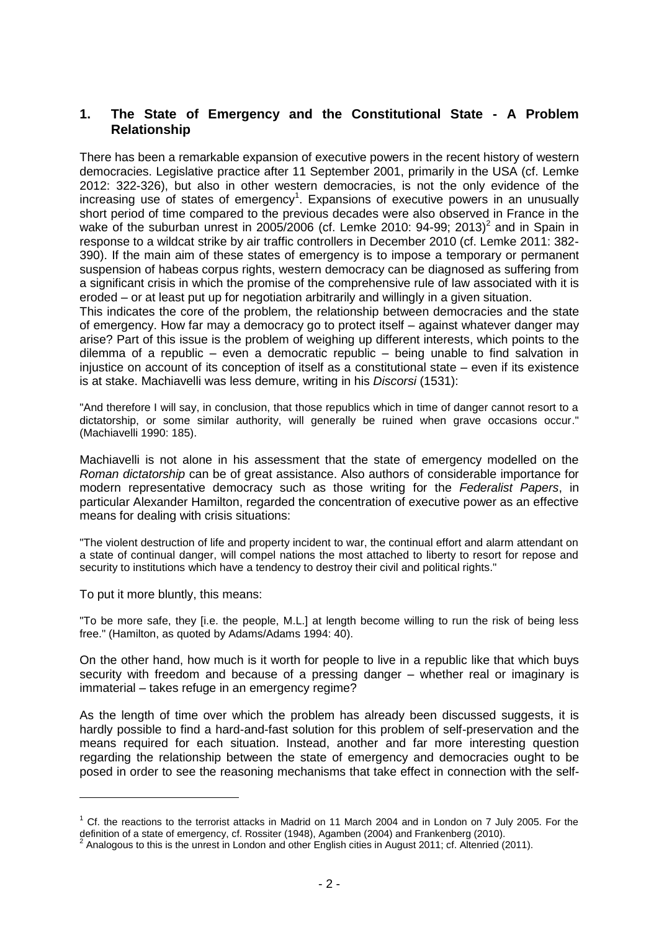#### **1. The State of Emergency and the Constitutional State - A Problem Relationship**

There has been a remarkable expansion of executive powers in the recent history of western democracies. Legislative practice after 11 September 2001, primarily in the USA (cf. Lemke 2012: 322-326), but also in other western democracies, is not the only evidence of the increasing use of states of emergency<sup>1</sup>. Expansions of executive powers in an unusually short period of time compared to the previous decades were also observed in France in the wake of the suburban unrest in 2005/2006 (cf. Lemke 2010: 94-99; 2013)<sup>2</sup> and in Spain in response to a wildcat strike by air traffic controllers in December 2010 (cf. Lemke 2011: 382- 390). If the main aim of these states of emergency is to impose a temporary or permanent suspension of habeas corpus rights, western democracy can be diagnosed as suffering from a significant crisis in which the promise of the comprehensive rule of law associated with it is eroded – or at least put up for negotiation arbitrarily and willingly in a given situation.

This indicates the core of the problem, the relationship between democracies and the state of emergency. How far may a democracy go to protect itself – against whatever danger may arise? Part of this issue is the problem of weighing up different interests, which points to the dilemma of a republic – even a democratic republic – being unable to find salvation in injustice on account of its conception of itself as a constitutional state – even if its existence is at stake. Machiavelli was less demure, writing in his *Discorsi* (1531):

"And therefore I will say, in conclusion, that those republics which in time of danger cannot resort to a dictatorship, or some similar authority, will generally be ruined when grave occasions occur." (Machiavelli 1990: 185).

Machiavelli is not alone in his assessment that the state of emergency modelled on the *Roman dictatorship* can be of great assistance. Also authors of considerable importance for modern representative democracy such as those writing for the *Federalist Papers*, in particular Alexander Hamilton, regarded the concentration of executive power as an effective means for dealing with crisis situations:

"The violent destruction of life and property incident to war, the continual effort and alarm attendant on a state of continual danger, will compel nations the most attached to liberty to resort for repose and security to institutions which have a tendency to destroy their civil and political rights."

To put it more bluntly, this means:

-

"To be more safe, they [i.e. the people, M.L.] at length become willing to run the risk of being less free." (Hamilton, as quoted by Adams/Adams 1994: 40).

On the other hand, how much is it worth for people to live in a republic like that which buys security with freedom and because of a pressing danger – whether real or imaginary is immaterial – takes refuge in an emergency regime?

As the length of time over which the problem has already been discussed suggests, it is hardly possible to find a hard-and-fast solution for this problem of self-preservation and the means required for each situation. Instead, another and far more interesting question regarding the relationship between the state of emergency and democracies ought to be posed in order to see the reasoning mechanisms that take effect in connection with the self-

 $1$  Cf. the reactions to the terrorist attacks in Madrid on 11 March 2004 and in London on 7 July 2005. For the definition of a state of emergency, cf. Rossiter (1948), Agamben (2004) and Frankenberg (2010).<br><sup>2</sup> Anglegaus to this is the unrest in London and other English sities in August 2011; of Alterried (

Analogous to this is the unrest in London and other English cities in August 2011; cf. Altenried (2011).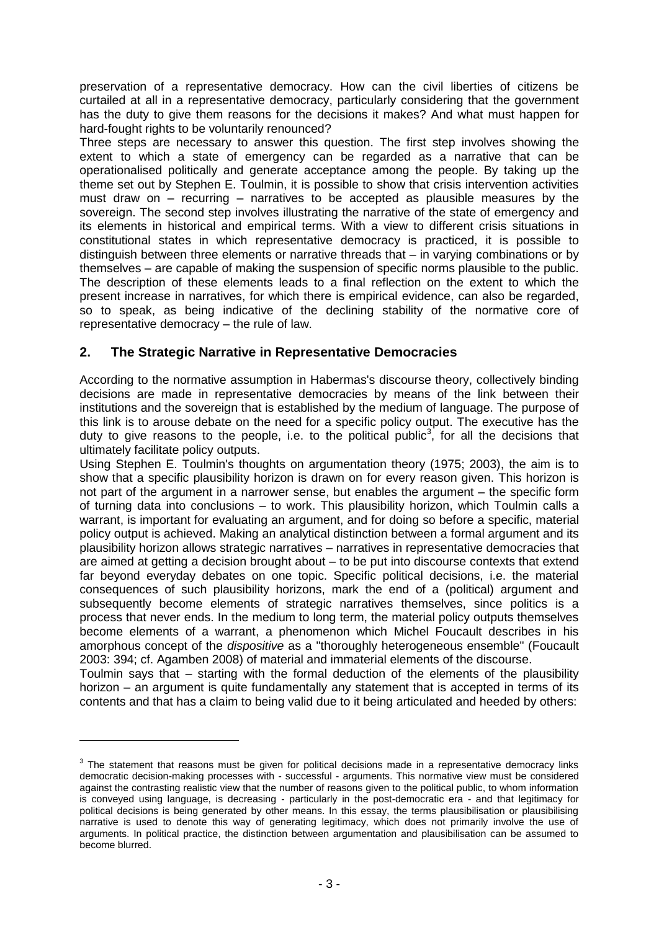preservation of a representative democracy. How can the civil liberties of citizens be curtailed at all in a representative democracy, particularly considering that the government has the duty to give them reasons for the decisions it makes? And what must happen for hard-fought rights to be voluntarily renounced?

Three steps are necessary to answer this question. The first step involves showing the extent to which a state of emergency can be regarded as a narrative that can be operationalised politically and generate acceptance among the people. By taking up the theme set out by Stephen E. Toulmin, it is possible to show that crisis intervention activities must draw on – recurring – narratives to be accepted as plausible measures by the sovereign. The second step involves illustrating the narrative of the state of emergency and its elements in historical and empirical terms. With a view to different crisis situations in constitutional states in which representative democracy is practiced, it is possible to distinguish between three elements or narrative threads that – in varying combinations or by themselves – are capable of making the suspension of specific norms plausible to the public. The description of these elements leads to a final reflection on the extent to which the present increase in narratives, for which there is empirical evidence, can also be regarded, so to speak, as being indicative of the declining stability of the normative core of representative democracy – the rule of law.

# **2. The Strategic Narrative in Representative Democracies**

According to the normative assumption in Habermas's discourse theory, collectively binding decisions are made in representative democracies by means of the link between their institutions and the sovereign that is established by the medium of language. The purpose of this link is to arouse debate on the need for a specific policy output. The executive has the duty to give reasons to the people, i.e. to the political public<sup>3</sup>, for all the decisions that ultimately facilitate policy outputs.

Using Stephen E. Toulmin's thoughts on argumentation theory (1975; 2003), the aim is to show that a specific plausibility horizon is drawn on for every reason given. This horizon is not part of the argument in a narrower sense, but enables the argument – the specific form of turning data into conclusions – to work. This plausibility horizon, which Toulmin calls a warrant, is important for evaluating an argument, and for doing so before a specific, material policy output is achieved. Making an analytical distinction between a formal argument and its plausibility horizon allows strategic narratives – narratives in representative democracies that are aimed at getting a decision brought about – to be put into discourse contexts that extend far beyond everyday debates on one topic. Specific political decisions, i.e. the material consequences of such plausibility horizons, mark the end of a (political) argument and subsequently become elements of strategic narratives themselves, since politics is a process that never ends. In the medium to long term, the material policy outputs themselves become elements of a warrant, a phenomenon which Michel Foucault describes in his amorphous concept of the *dispositive* as a "thoroughly heterogeneous ensemble" (Foucault 2003: 394; cf. Agamben 2008) of material and immaterial elements of the discourse.

Toulmin says that – starting with the formal deduction of the elements of the plausibility horizon – an argument is quite fundamentally any statement that is accepted in terms of its contents and that has a claim to being valid due to it being articulated and heeded by others:

 $3$  The statement that reasons must be given for political decisions made in a representative democracy links democratic decision-making processes with - successful - arguments. This normative view must be considered against the contrasting realistic view that the number of reasons given to the political public, to whom information is conveyed using language, is decreasing - particularly in the post-democratic era - and that legitimacy for political decisions is being generated by other means. In this essay, the terms plausibilisation or plausibilising narrative is used to denote this way of generating legitimacy, which does not primarily involve the use of arguments. In political practice, the distinction between argumentation and plausibilisation can be assumed to become blurred.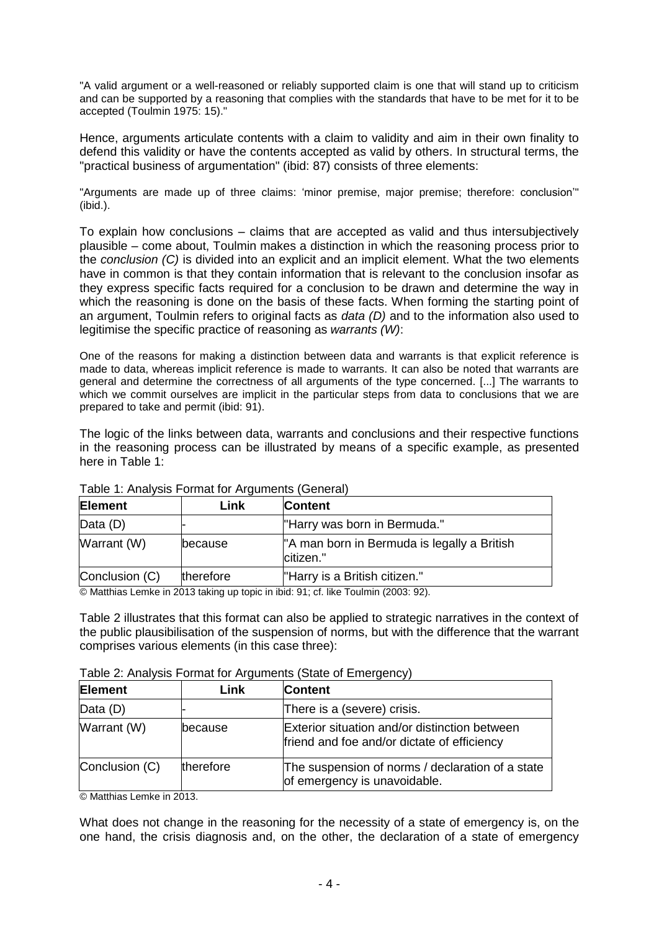"A valid argument or a well-reasoned or reliably supported claim is one that will stand up to criticism and can be supported by a reasoning that complies with the standards that have to be met for it to be accepted (Toulmin 1975: 15)."

Hence, arguments articulate contents with a claim to validity and aim in their own finality to defend this validity or have the contents accepted as valid by others. In structural terms, the "practical business of argumentation" (ibid: 87) consists of three elements:

"Arguments are made up of three claims: 'minor premise, major premise; therefore: conclusion'" (ibid.).

To explain how conclusions – claims that are accepted as valid and thus intersubjectively plausible – come about, Toulmin makes a distinction in which the reasoning process prior to the *conclusion (C)* is divided into an explicit and an implicit element. What the two elements have in common is that they contain information that is relevant to the conclusion insofar as they express specific facts required for a conclusion to be drawn and determine the way in which the reasoning is done on the basis of these facts. When forming the starting point of an argument, Toulmin refers to original facts as *data (D)* and to the information also used to legitimise the specific practice of reasoning as *warrants (W)*:

One of the reasons for making a distinction between data and warrants is that explicit reference is made to data, whereas implicit reference is made to warrants. It can also be noted that warrants are general and determine the correctness of all arguments of the type concerned. [...] The warrants to which we commit ourselves are implicit in the particular steps from data to conclusions that we are prepared to take and permit (ibid: 91).

The logic of the links between data, warrants and conclusions and their respective functions in the reasoning process can be illustrated by means of a specific example, as presented here in Table 1:

| <b>Element</b> | Link            | <b>Content</b>                                           |
|----------------|-----------------|----------------------------------------------------------|
| Data (D)       |                 | "Harry was born in Bermuda."                             |
| Warrant (W)    | <b>lbecause</b> | "A man born in Bermuda is legally a British<br>citizen." |
| Conclusion (C) | therefore       | "Harry is a British citizen."                            |

Table 1: Analysis Format for Arguments (General)

© Matthias Lemke in 2013 taking up topic in ibid: 91; cf. like Toulmin (2003: 92).

Table 2 illustrates that this format can also be applied to strategic narratives in the context of the public plausibilisation of the suspension of norms, but with the difference that the warrant comprises various elements (in this case three):

|  | Table 2: Analysis Format for Arguments (State of Emergency) |
|--|-------------------------------------------------------------|
|  |                                                             |

| Element        | Link            | <b>Content</b>                                                                               |
|----------------|-----------------|----------------------------------------------------------------------------------------------|
| Data (D)       |                 | There is a (severe) crisis.                                                                  |
| Warrant (W)    | <b>lbecause</b> | Exterior situation and/or distinction between<br>friend and foe and/or dictate of efficiency |
| Conclusion (C) | therefore       | The suspension of norms / declaration of a state<br>of emergency is unavoidable.             |

© Matthias Lemke in 2013.

What does not change in the reasoning for the necessity of a state of emergency is, on the one hand, the crisis diagnosis and, on the other, the declaration of a state of emergency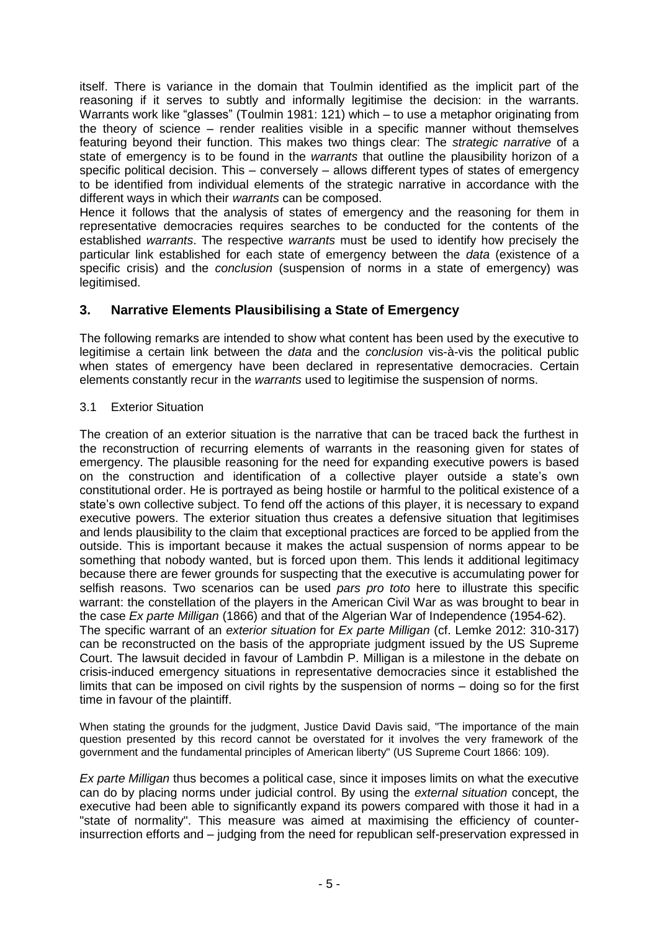itself. There is variance in the domain that Toulmin identified as the implicit part of the reasoning if it serves to subtly and informally legitimise the decision: in the warrants. Warrants work like "glasses" (Toulmin 1981: 121) which – to use a metaphor originating from the theory of science – render realities visible in a specific manner without themselves featuring beyond their function. This makes two things clear: The *strategic narrative* of a state of emergency is to be found in the *warrants* that outline the plausibility horizon of a specific political decision. This – conversely – allows different types of states of emergency to be identified from individual elements of the strategic narrative in accordance with the different ways in which their *warrants* can be composed.

Hence it follows that the analysis of states of emergency and the reasoning for them in representative democracies requires searches to be conducted for the contents of the established *warrants*. The respective *warrants* must be used to identify how precisely the particular link established for each state of emergency between the *data* (existence of a specific crisis) and the *conclusion* (suspension of norms in a state of emergency) was legitimised.

# **3. Narrative Elements Plausibilising a State of Emergency**

The following remarks are intended to show what content has been used by the executive to legitimise a certain link between the *data* and the *conclusion* vis-à-vis the political public when states of emergency have been declared in representative democracies. Certain elements constantly recur in the *warrants* used to legitimise the suspension of norms.

#### 3.1 Exterior Situation

The creation of an exterior situation is the narrative that can be traced back the furthest in the reconstruction of recurring elements of warrants in the reasoning given for states of emergency. The plausible reasoning for the need for expanding executive powers is based on the construction and identification of a collective player outside a state's own constitutional order. He is portrayed as being hostile or harmful to the political existence of a state's own collective subject. To fend off the actions of this player, it is necessary to expand executive powers. The exterior situation thus creates a defensive situation that legitimises and lends plausibility to the claim that exceptional practices are forced to be applied from the outside. This is important because it makes the actual suspension of norms appear to be something that nobody wanted, but is forced upon them. This lends it additional legitimacy because there are fewer grounds for suspecting that the executive is accumulating power for selfish reasons. Two scenarios can be used *pars pro toto* here to illustrate this specific warrant: the constellation of the players in the American Civil War as was brought to bear in the case *Ex parte Milligan* (1866) and that of the Algerian War of Independence (1954-62). The specific warrant of an *exterior situation* for *Ex parte Milligan* (cf. Lemke 2012: 310-317) can be reconstructed on the basis of the appropriate judgment issued by the US Supreme Court. The lawsuit decided in favour of Lambdin P. Milligan is a milestone in the debate on crisis-induced emergency situations in representative democracies since it established the

limits that can be imposed on civil rights by the suspension of norms – doing so for the first time in favour of the plaintiff. When stating the grounds for the judgment, Justice David Davis said, "The importance of the main question presented by this record cannot be overstated for it involves the very framework of the

government and the fundamental principles of American liberty" (US Supreme Court 1866: 109).

*Ex parte Milligan* thus becomes a political case, since it imposes limits on what the executive can do by placing norms under judicial control. By using the *external situation* concept, the executive had been able to significantly expand its powers compared with those it had in a "state of normality". This measure was aimed at maximising the efficiency of counterinsurrection efforts and – judging from the need for republican self-preservation expressed in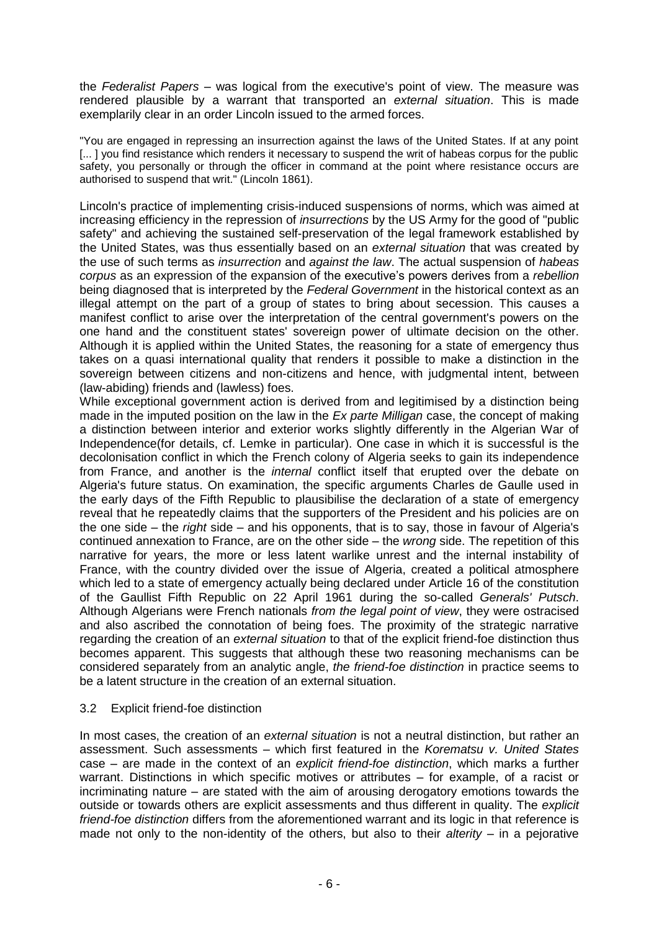the *Federalist Papers* – was logical from the executive's point of view. The measure was rendered plausible by a warrant that transported an *external situation*. This is made exemplarily clear in an order Lincoln issued to the armed forces.

"You are engaged in repressing an insurrection against the laws of the United States. If at any point [...] you find resistance which renders it necessary to suspend the writ of habeas corpus for the public safety, you personally or through the officer in command at the point where resistance occurs are authorised to suspend that writ." (Lincoln 1861).

Lincoln's practice of implementing crisis-induced suspensions of norms, which was aimed at increasing efficiency in the repression of *insurrections* by the US Army for the good of "public safety" and achieving the sustained self-preservation of the legal framework established by the United States, was thus essentially based on an *external situation* that was created by the use of such terms as *insurrection* and *against the law*. The actual suspension of *habeas corpus* as an expression of the expansion of the executive's powers derives from a *rebellion* being diagnosed that is interpreted by the *Federal Government* in the historical context as an illegal attempt on the part of a group of states to bring about secession. This causes a manifest conflict to arise over the interpretation of the central government's powers on the one hand and the constituent states' sovereign power of ultimate decision on the other. Although it is applied within the United States, the reasoning for a state of emergency thus takes on a quasi international quality that renders it possible to make a distinction in the sovereign between citizens and non-citizens and hence, with judgmental intent, between (law-abiding) friends and (lawless) foes.

While exceptional government action is derived from and legitimised by a distinction being made in the imputed position on the law in the *Ex parte Milligan* case, the concept of making a distinction between interior and exterior works slightly differently in the Algerian War of Independence(for details, cf. Lemke in particular). One case in which it is successful is the decolonisation conflict in which the French colony of Algeria seeks to gain its independence from France, and another is the *internal* conflict itself that erupted over the debate on Algeria's future status. On examination, the specific arguments Charles de Gaulle used in the early days of the Fifth Republic to plausibilise the declaration of a state of emergency reveal that he repeatedly claims that the supporters of the President and his policies are on the one side – the *right* side – and his opponents, that is to say, those in favour of Algeria's continued annexation to France, are on the other side – the *wrong* side. The repetition of this narrative for years, the more or less latent warlike unrest and the internal instability of France, with the country divided over the issue of Algeria, created a political atmosphere which led to a state of emergency actually being declared under Article 16 of the constitution of the Gaullist Fifth Republic on 22 April 1961 during the so-called *Generals' Putsch*. Although Algerians were French nationals *from the legal point of view*, they were ostracised and also ascribed the connotation of being foes. The proximity of the strategic narrative regarding the creation of an *external situation* to that of the explicit friend-foe distinction thus becomes apparent. This suggests that although these two reasoning mechanisms can be considered separately from an analytic angle, *the friend-foe distinction* in practice seems to be a latent structure in the creation of an external situation.

#### 3.2 Explicit friend-foe distinction

In most cases, the creation of an *external situation* is not a neutral distinction, but rather an assessment. Such assessments – which first featured in the *Korematsu v. United States* case – are made in the context of an *explicit friend-foe distinction*, which marks a further warrant. Distinctions in which specific motives or attributes – for example, of a racist or incriminating nature – are stated with the aim of arousing derogatory emotions towards the outside or towards others are explicit assessments and thus different in quality. The *explicit friend-foe distinction* differs from the aforementioned warrant and its logic in that reference is made not only to the non-identity of the others, but also to their *alterity* – in a pejorative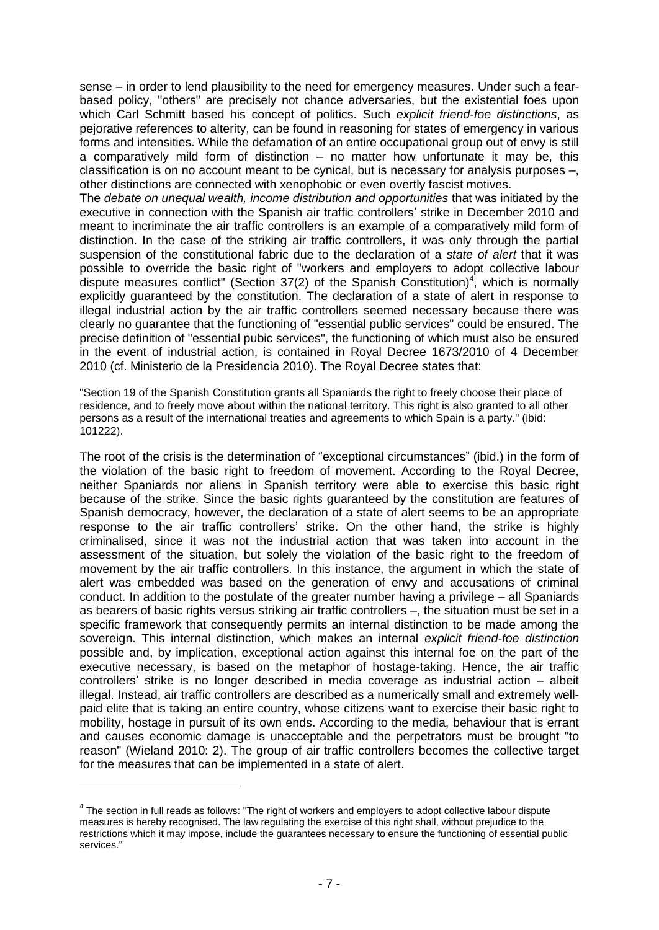sense – in order to lend plausibility to the need for emergency measures. Under such a fearbased policy, "others" are precisely not chance adversaries, but the existential foes upon which Carl Schmitt based his concept of politics. Such *explicit friend-foe distinctions*, as pejorative references to alterity, can be found in reasoning for states of emergency in various forms and intensities. While the defamation of an entire occupational group out of envy is still a comparatively mild form of distinction  $-$  no matter how unfortunate it may be, this classification is on no account meant to be cynical, but is necessary for analysis purposes –, other distinctions are connected with xenophobic or even overtly fascist motives.

The *debate on unequal wealth, income distribution and opportunities* that was initiated by the executive in connection with the Spanish air traffic controllers' strike in December 2010 and meant to incriminate the air traffic controllers is an example of a comparatively mild form of distinction. In the case of the striking air traffic controllers, it was only through the partial suspension of the constitutional fabric due to the declaration of a *state of alert* that it was possible to override the basic right of "workers and employers to adopt collective labour dispute measures conflict" (Section 37(2) of the Spanish Constitution)<sup>4</sup>, which is normally explicitly guaranteed by the constitution. The declaration of a state of alert in response to illegal industrial action by the air traffic controllers seemed necessary because there was clearly no guarantee that the functioning of "essential public services" could be ensured. The precise definition of "essential pubic services", the functioning of which must also be ensured in the event of industrial action, is contained in Royal Decree 1673/2010 of 4 December 2010 (cf. Ministerio de la Presidencia 2010). The Royal Decree states that:

"Section 19 of the Spanish Constitution grants all Spaniards the right to freely choose their place of residence, and to freely move about within the national territory. This right is also granted to all other persons as a result of the international treaties and agreements to which Spain is a party." (ibid: 101222).

The root of the crisis is the determination of "exceptional circumstances" (ibid.) in the form of the violation of the basic right to freedom of movement. According to the Royal Decree, neither Spaniards nor aliens in Spanish territory were able to exercise this basic right because of the strike. Since the basic rights guaranteed by the constitution are features of Spanish democracy, however, the declaration of a state of alert seems to be an appropriate response to the air traffic controllers' strike. On the other hand, the strike is highly criminalised, since it was not the industrial action that was taken into account in the assessment of the situation, but solely the violation of the basic right to the freedom of movement by the air traffic controllers. In this instance, the argument in which the state of alert was embedded was based on the generation of envy and accusations of criminal conduct. In addition to the postulate of the greater number having a privilege – all Spaniards as bearers of basic rights versus striking air traffic controllers –, the situation must be set in a specific framework that consequently permits an internal distinction to be made among the sovereign. This internal distinction, which makes an internal *explicit friend-foe distinction* possible and, by implication, exceptional action against this internal foe on the part of the executive necessary, is based on the metaphor of hostage-taking. Hence, the air traffic controllers' strike is no longer described in media coverage as industrial action – albeit illegal. Instead, air traffic controllers are described as a numerically small and extremely wellpaid elite that is taking an entire country, whose citizens want to exercise their basic right to mobility, hostage in pursuit of its own ends. According to the media, behaviour that is errant and causes economic damage is unacceptable and the perpetrators must be brought "to reason" (Wieland 2010: 2). The group of air traffic controllers becomes the collective target for the measures that can be implemented in a state of alert.

 $4$  The section in full reads as follows: "The right of workers and employers to adopt collective labour dispute measures is hereby recognised. The law regulating the exercise of this right shall, without prejudice to the restrictions which it may impose, include the guarantees necessary to ensure the functioning of essential public services."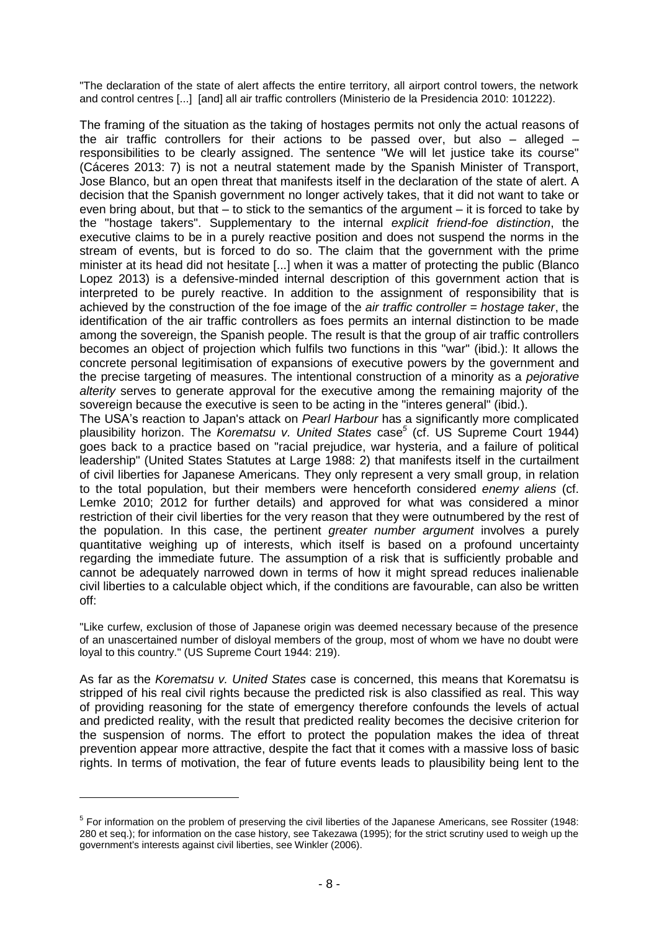"The declaration of the state of alert affects the entire territory, all airport control towers, the network and control centres [...] [and] all air traffic controllers (Ministerio de la Presidencia 2010: 101222).

The framing of the situation as the taking of hostages permits not only the actual reasons of the air traffic controllers for their actions to be passed over, but also  $-$  alleged  $$ responsibilities to be clearly assigned. The sentence "We will let justice take its course" (Cáceres 2013: 7) is not a neutral statement made by the Spanish Minister of Transport, Jose Blanco, but an open threat that manifests itself in the declaration of the state of alert. A decision that the Spanish government no longer actively takes, that it did not want to take or even bring about, but that – to stick to the semantics of the argument – it is forced to take by the "hostage takers". Supplementary to the internal *explicit friend-foe distinction*, the executive claims to be in a purely reactive position and does not suspend the norms in the stream of events, but is forced to do so. The claim that the government with the prime minister at its head did not hesitate [...] when it was a matter of protecting the public (Blanco Lopez 2013) is a defensive-minded internal description of this government action that is interpreted to be purely reactive. In addition to the assignment of responsibility that is achieved by the construction of the foe image of the *air traffic controller = hostage taker*, the identification of the air traffic controllers as foes permits an internal distinction to be made among the sovereign, the Spanish people. The result is that the group of air traffic controllers becomes an object of projection which fulfils two functions in this "war" (ibid.): It allows the concrete personal legitimisation of expansions of executive powers by the government and the precise targeting of measures. The intentional construction of a minority as a *pejorative alterity* serves to generate approval for the executive among the remaining majority of the sovereign because the executive is seen to be acting in the "interes general" (ibid.).

The USA's reaction to Japan's attack on *Pearl Harbour* has a significantly more complicated plausibility horizon. The *Korematsu v. United States* case*<sup>5</sup>* (cf. US Supreme Court 1944) goes back to a practice based on "racial prejudice, war hysteria, and a failure of political leadership" (United States Statutes at Large 1988: 2) that manifests itself in the curtailment of civil liberties for Japanese Americans. They only represent a very small group, in relation to the total population, but their members were henceforth considered *enemy aliens* (cf. Lemke 2010; 2012 for further details) and approved for what was considered a minor restriction of their civil liberties for the very reason that they were outnumbered by the rest of the population. In this case, the pertinent *greater number argument* involves a purely quantitative weighing up of interests, which itself is based on a profound uncertainty regarding the immediate future. The assumption of a risk that is sufficiently probable and cannot be adequately narrowed down in terms of how it might spread reduces inalienable civil liberties to a calculable object which, if the conditions are favourable, can also be written off:

"Like curfew, exclusion of those of Japanese origin was deemed necessary because of the presence of an unascertained number of disloyal members of the group, most of whom we have no doubt were loyal to this country." (US Supreme Court 1944: 219).

As far as the *Korematsu v. United States* case is concerned, this means that Korematsu is stripped of his real civil rights because the predicted risk is also classified as real. This way of providing reasoning for the state of emergency therefore confounds the levels of actual and predicted reality, with the result that predicted reality becomes the decisive criterion for the suspension of norms. The effort to protect the population makes the idea of threat prevention appear more attractive, despite the fact that it comes with a massive loss of basic rights. In terms of motivation, the fear of future events leads to plausibility being lent to the

<sup>&</sup>lt;sup>5</sup> For information on the problem of preserving the civil liberties of the Japanese Americans, see Rossiter (1948: 280 et seq.); for information on the case history, see Takezawa (1995); for the strict scrutiny used to weigh up the government's interests against civil liberties, see Winkler (2006).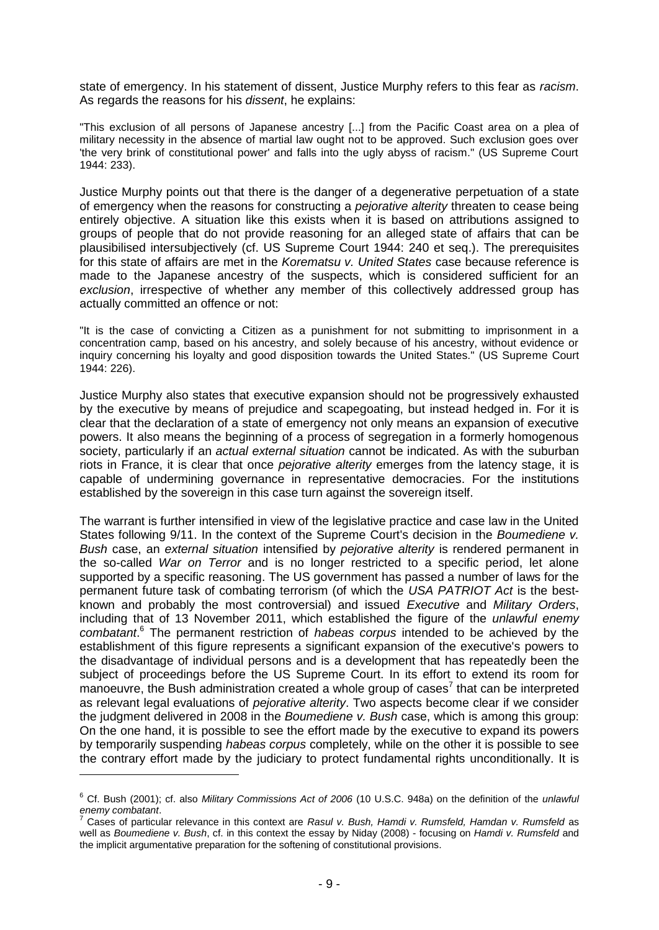state of emergency. In his statement of dissent, Justice Murphy refers to this fear as *racism*. As regards the reasons for his *dissent*, he explains:

"This exclusion of all persons of Japanese ancestry [...] from the Pacific Coast area on a plea of military necessity in the absence of martial law ought not to be approved. Such exclusion goes over 'the very brink of constitutional power' and falls into the ugly abyss of racism." (US Supreme Court 1944: 233).

Justice Murphy points out that there is the danger of a degenerative perpetuation of a state of emergency when the reasons for constructing a *pejorative alterity* threaten to cease being entirely objective. A situation like this exists when it is based on attributions assigned to groups of people that do not provide reasoning for an alleged state of affairs that can be plausibilised intersubjectively (cf. US Supreme Court 1944: 240 et seq.). The prerequisites for this state of affairs are met in the *Korematsu v. United States* case because reference is made to the Japanese ancestry of the suspects, which is considered sufficient for an *exclusion*, irrespective of whether any member of this collectively addressed group has actually committed an offence or not:

"It is the case of convicting a Citizen as a punishment for not submitting to imprisonment in a concentration camp, based on his ancestry, and solely because of his ancestry, without evidence or inquiry concerning his loyalty and good disposition towards the United States." (US Supreme Court 1944: 226).

Justice Murphy also states that executive expansion should not be progressively exhausted by the executive by means of prejudice and scapegoating, but instead hedged in. For it is clear that the declaration of a state of emergency not only means an expansion of executive powers. It also means the beginning of a process of segregation in a formerly homogenous society, particularly if an *actual external situation* cannot be indicated. As with the suburban riots in France, it is clear that once *pejorative alterity* emerges from the latency stage, it is capable of undermining governance in representative democracies. For the institutions established by the sovereign in this case turn against the sovereign itself.

The warrant is further intensified in view of the legislative practice and case law in the United States following 9/11. In the context of the Supreme Court's decision in the *Boumediene v. Bush* case, an *external situation* intensified by *pejorative alterity* is rendered permanent in the so-called *War on Terror* and is no longer restricted to a specific period, let alone supported by a specific reasoning. The US government has passed a number of laws for the permanent future task of combating terrorism (of which the *USA PATRIOT Act* is the bestknown and probably the most controversial) and issued *Executive* and *Military Orders*, including that of 13 November 2011, which established the figure of the *unlawful enemy combatant*. <sup>6</sup> The permanent restriction of *habeas corpus* intended to be achieved by the establishment of this figure represents a significant expansion of the executive's powers to the disadvantage of individual persons and is a development that has repeatedly been the subject of proceedings before the US Supreme Court. In its effort to extend its room for manoeuvre, the Bush administration created a whole group of cases<sup>7</sup> that can be interpreted as relevant legal evaluations of *pejorative alterity*. Two aspects become clear if we consider the judgment delivered in 2008 in the *Boumediene v. Bush* case, which is among this group: On the one hand, it is possible to see the effort made by the executive to expand its powers by temporarily suspending *habeas corpus* completely, while on the other it is possible to see the contrary effort made by the judiciary to protect fundamental rights unconditionally. It is

<sup>6</sup> Cf. Bush (2001); cf. also *Military Commissions Act of 2006* (10 U.S.C. 948a) on the definition of the *unlawful enemy combatant*.

<sup>7</sup> Cases of particular relevance in this context are *Rasul v. Bush, Hamdi v. Rumsfeld, Hamdan v. Rumsfeld* as well as *Boumediene v. Bush*, cf. in this context the essay by Niday (2008) - focusing on *Hamdi v. Rumsfeld* and the implicit argumentative preparation for the softening of constitutional provisions.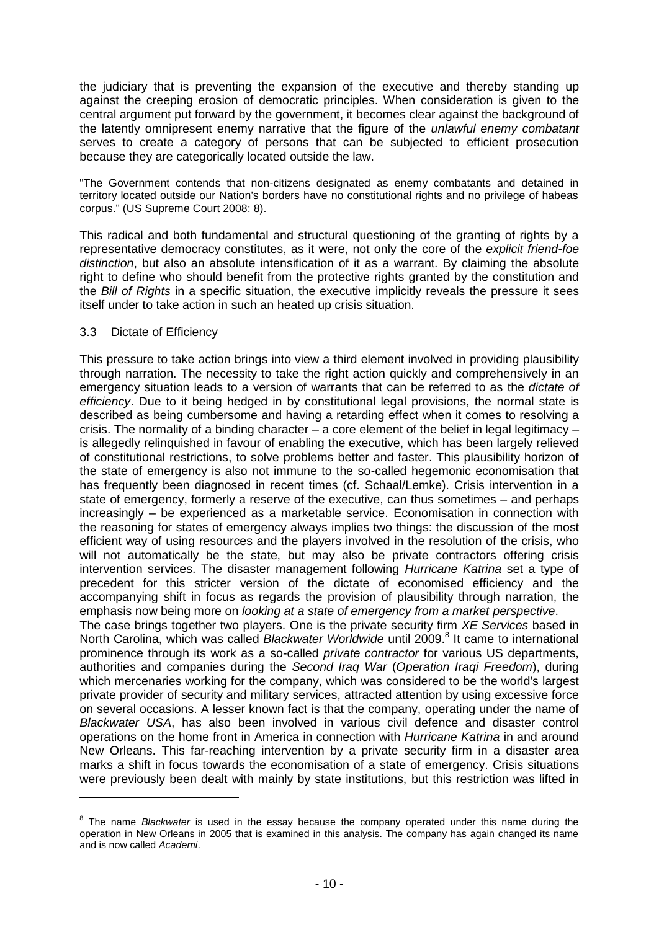the judiciary that is preventing the expansion of the executive and thereby standing up against the creeping erosion of democratic principles. When consideration is given to the central argument put forward by the government, it becomes clear against the background of the latently omnipresent enemy narrative that the figure of the *unlawful enemy combatant* serves to create a category of persons that can be subjected to efficient prosecution because they are categorically located outside the law.

"The Government contends that non-citizens designated as enemy combatants and detained in territory located outside our Nation's borders have no constitutional rights and no privilege of habeas corpus." (US Supreme Court 2008: 8).

This radical and both fundamental and structural questioning of the granting of rights by a representative democracy constitutes, as it were, not only the core of the *explicit friend-foe distinction*, but also an absolute intensification of it as a warrant. By claiming the absolute right to define who should benefit from the protective rights granted by the constitution and the *Bill of Rights* in a specific situation, the executive implicitly reveals the pressure it sees itself under to take action in such an heated up crisis situation.

#### 3.3 Dictate of Efficiency

This pressure to take action brings into view a third element involved in providing plausibility through narration. The necessity to take the right action quickly and comprehensively in an emergency situation leads to a version of warrants that can be referred to as the *dictate of efficiency*. Due to it being hedged in by constitutional legal provisions, the normal state is described as being cumbersome and having a retarding effect when it comes to resolving a crisis. The normality of a binding character – a core element of the belief in legal legitimacy – is allegedly relinquished in favour of enabling the executive, which has been largely relieved of constitutional restrictions, to solve problems better and faster. This plausibility horizon of the state of emergency is also not immune to the so-called hegemonic economisation that has frequently been diagnosed in recent times (cf. Schaal/Lemke). Crisis intervention in a state of emergency, formerly a reserve of the executive, can thus sometimes – and perhaps increasingly – be experienced as a marketable service. Economisation in connection with the reasoning for states of emergency always implies two things: the discussion of the most efficient way of using resources and the players involved in the resolution of the crisis, who will not automatically be the state, but may also be private contractors offering crisis intervention services. The disaster management following *Hurricane Katrina* set a type of precedent for this stricter version of the dictate of economised efficiency and the accompanying shift in focus as regards the provision of plausibility through narration, the emphasis now being more on *looking at a state of emergency from a market perspective*. The case brings together two players. One is the private security firm *XE Services* based in North Carolina, which was called Blackwater Worldwide until 2009.<sup>8</sup> It came to international prominence through its work as a so-called *private contractor* for various US departments, authorities and companies during the *Second Iraq War* (*Operation Iraqi Freedom*), during which mercenaries working for the company, which was considered to be the world's largest private provider of security and military services, attracted attention by using excessive force on several occasions. A lesser known fact is that the company, operating under the name of *Blackwater USA*, has also been involved in various civil defence and disaster control operations on the home front in America in connection with *Hurricane Katrina* in and around New Orleans. This far-reaching intervention by a private security firm in a disaster area

marks a shift in focus towards the economisation of a state of emergency. Crisis situations were previously been dealt with mainly by state institutions, but this restriction was lifted in -

<sup>&</sup>lt;sup>8</sup> The name *Blackwater* is used in the essay because the company operated under this name during the operation in New Orleans in 2005 that is examined in this analysis. The company has again changed its name and is now called *Academi*.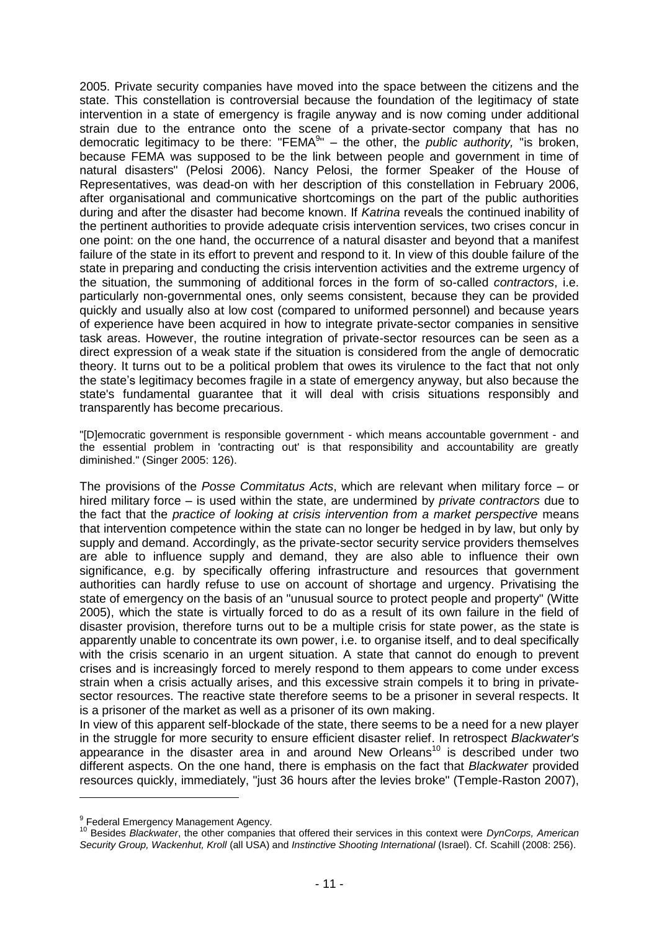2005. Private security companies have moved into the space between the citizens and the state. This constellation is controversial because the foundation of the legitimacy of state intervention in a state of emergency is fragile anyway and is now coming under additional strain due to the entrance onto the scene of a private-sector company that has no democratic legitimacy to be there: "FEMA<sup>9</sup>" – the other, the *public authority*, "is broken, because FEMA was supposed to be the link between people and government in time of natural disasters" (Pelosi 2006). Nancy Pelosi, the former Speaker of the House of Representatives, was dead-on with her description of this constellation in February 2006, after organisational and communicative shortcomings on the part of the public authorities during and after the disaster had become known. If *Katrina* reveals the continued inability of the pertinent authorities to provide adequate crisis intervention services, two crises concur in one point: on the one hand, the occurrence of a natural disaster and beyond that a manifest failure of the state in its effort to prevent and respond to it. In view of this double failure of the state in preparing and conducting the crisis intervention activities and the extreme urgency of the situation, the summoning of additional forces in the form of so-called *contractors*, i.e. particularly non-governmental ones, only seems consistent, because they can be provided quickly and usually also at low cost (compared to uniformed personnel) and because years of experience have been acquired in how to integrate private-sector companies in sensitive task areas. However, the routine integration of private-sector resources can be seen as a direct expression of a weak state if the situation is considered from the angle of democratic theory. It turns out to be a political problem that owes its virulence to the fact that not only the state's legitimacy becomes fragile in a state of emergency anyway, but also because the state's fundamental guarantee that it will deal with crisis situations responsibly and transparently has become precarious.

"[D]emocratic government is responsible government - which means accountable government - and the essential problem in 'contracting out' is that responsibility and accountability are greatly diminished." (Singer 2005: 126).

The provisions of the *Posse Commitatus Acts*, which are relevant when military force – or hired military force – is used within the state, are undermined by *private contractors* due to the fact that the *practice of looking at crisis intervention from a market perspective* means that intervention competence within the state can no longer be hedged in by law, but only by supply and demand. Accordingly, as the private-sector security service providers themselves are able to influence supply and demand, they are also able to influence their own significance, e.g. by specifically offering infrastructure and resources that government authorities can hardly refuse to use on account of shortage and urgency. Privatising the state of emergency on the basis of an "unusual source to protect people and property" (Witte 2005), which the state is virtually forced to do as a result of its own failure in the field of disaster provision, therefore turns out to be a multiple crisis for state power, as the state is apparently unable to concentrate its own power, i.e. to organise itself, and to deal specifically with the crisis scenario in an urgent situation. A state that cannot do enough to prevent crises and is increasingly forced to merely respond to them appears to come under excess strain when a crisis actually arises, and this excessive strain compels it to bring in privatesector resources. The reactive state therefore seems to be a prisoner in several respects. It is a prisoner of the market as well as a prisoner of its own making.

In view of this apparent self-blockade of the state, there seems to be a need for a new player in the struggle for more security to ensure efficient disaster relief. In retrospect *Blackwater's* appearance in the disaster area in and around New Orleans<sup>10</sup> is described under two different aspects. On the one hand, there is emphasis on the fact that *Blackwater* provided resources quickly, immediately, "just 36 hours after the levies broke" (Temple-Raston 2007),

<sup>&</sup>lt;sup>9</sup> Federal Emergency Management Agency.

<sup>10</sup> Besides *Blackwater*, the other companies that offered their services in this context were *DynCorps, American Security Group, Wackenhut, Kroll* (all USA) and *Instinctive Shooting International* (Israel). Cf. Scahill (2008: 256).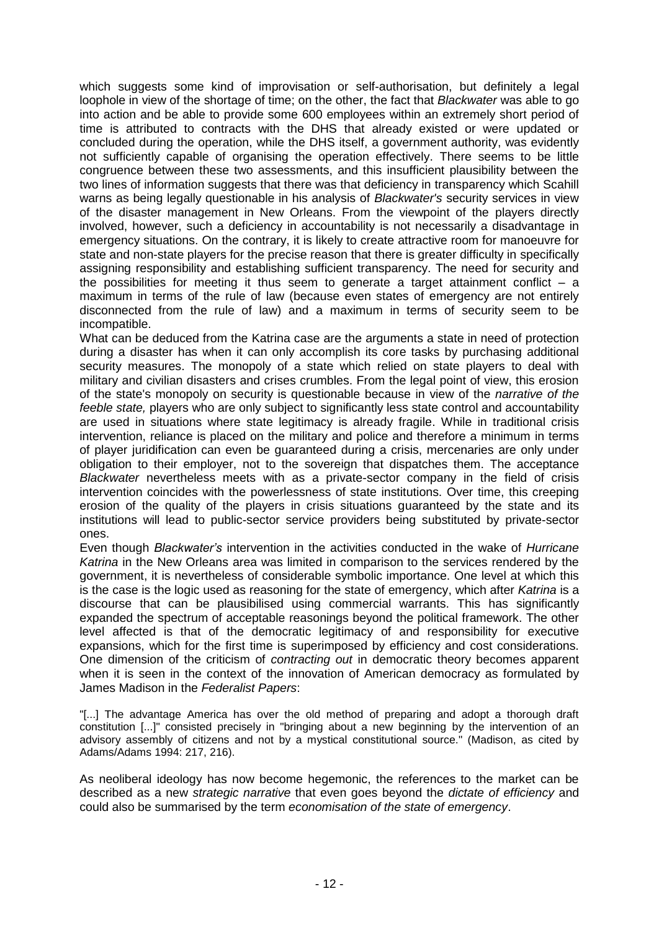which suggests some kind of improvisation or self-authorisation, but definitely a legal loophole in view of the shortage of time; on the other, the fact that *Blackwater* was able to go into action and be able to provide some 600 employees within an extremely short period of time is attributed to contracts with the DHS that already existed or were updated or concluded during the operation, while the DHS itself, a government authority, was evidently not sufficiently capable of organising the operation effectively. There seems to be little congruence between these two assessments, and this insufficient plausibility between the two lines of information suggests that there was that deficiency in transparency which Scahill warns as being legally questionable in his analysis of *Blackwater's* security services in view of the disaster management in New Orleans. From the viewpoint of the players directly involved, however, such a deficiency in accountability is not necessarily a disadvantage in emergency situations. On the contrary, it is likely to create attractive room for manoeuvre for state and non-state players for the precise reason that there is greater difficulty in specifically assigning responsibility and establishing sufficient transparency. The need for security and the possibilities for meeting it thus seem to generate a target attainment conflict  $-$  a maximum in terms of the rule of law (because even states of emergency are not entirely disconnected from the rule of law) and a maximum in terms of security seem to be incompatible.

What can be deduced from the Katrina case are the arguments a state in need of protection during a disaster has when it can only accomplish its core tasks by purchasing additional security measures. The monopoly of a state which relied on state players to deal with military and civilian disasters and crises crumbles. From the legal point of view, this erosion of the state's monopoly on security is questionable because in view of the *narrative of the feeble state,* players who are only subject to significantly less state control and accountability are used in situations where state legitimacy is already fragile. While in traditional crisis intervention, reliance is placed on the military and police and therefore a minimum in terms of player juridification can even be guaranteed during a crisis, mercenaries are only under obligation to their employer, not to the sovereign that dispatches them. The acceptance *Blackwater* nevertheless meets with as a private-sector company in the field of crisis intervention coincides with the powerlessness of state institutions. Over time, this creeping erosion of the quality of the players in crisis situations guaranteed by the state and its institutions will lead to public-sector service providers being substituted by private-sector ones.

Even though *Blackwater's* intervention in the activities conducted in the wake of *Hurricane Katrina* in the New Orleans area was limited in comparison to the services rendered by the government, it is nevertheless of considerable symbolic importance. One level at which this is the case is the logic used as reasoning for the state of emergency, which after *Katrina* is a discourse that can be plausibilised using commercial warrants. This has significantly expanded the spectrum of acceptable reasonings beyond the political framework. The other level affected is that of the democratic legitimacy of and responsibility for executive expansions, which for the first time is superimposed by efficiency and cost considerations. One dimension of the criticism of *contracting out* in democratic theory becomes apparent when it is seen in the context of the innovation of American democracy as formulated by James Madison in the *Federalist Papers*:

"[...] The advantage America has over the old method of preparing and adopt a thorough draft constitution [...]" consisted precisely in "bringing about a new beginning by the intervention of an advisory assembly of citizens and not by a mystical constitutional source." (Madison, as cited by Adams/Adams 1994: 217, 216).

As neoliberal ideology has now become hegemonic, the references to the market can be described as a new *strategic narrative* that even goes beyond the *dictate of efficiency* and could also be summarised by the term *economisation of the state of emergency*.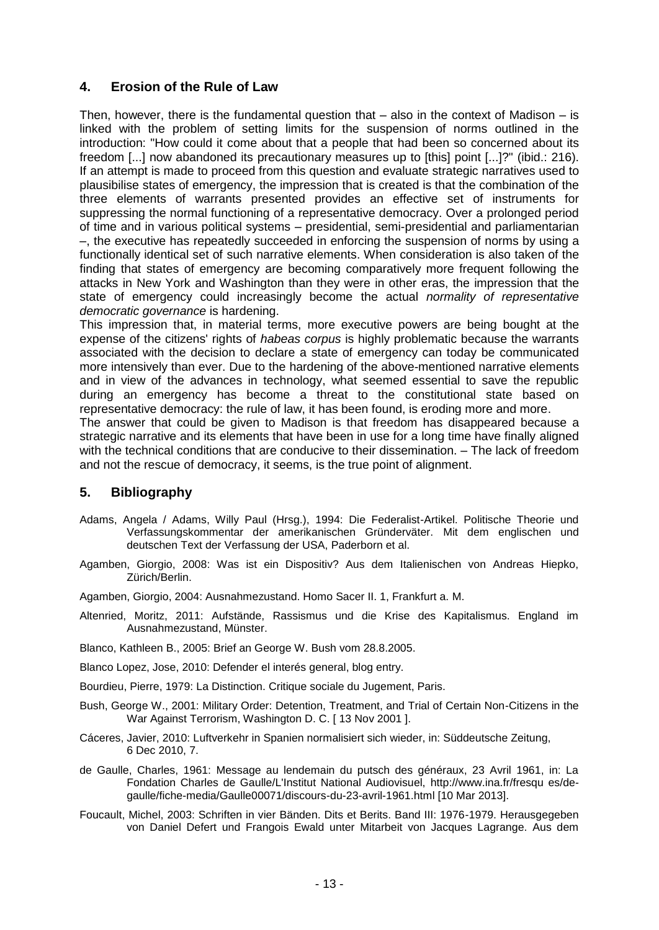# **4. Erosion of the Rule of Law**

Then, however, there is the fundamental question that  $-$  also in the context of Madison  $-$  is linked with the problem of setting limits for the suspension of norms outlined in the introduction: "How could it come about that a people that had been so concerned about its freedom [...] now abandoned its precautionary measures up to [this] point [...]?" (ibid.: 216). If an attempt is made to proceed from this question and evaluate strategic narratives used to plausibilise states of emergency, the impression that is created is that the combination of the three elements of warrants presented provides an effective set of instruments for suppressing the normal functioning of a representative democracy. Over a prolonged period of time and in various political systems – presidential, semi-presidential and parliamentarian –, the executive has repeatedly succeeded in enforcing the suspension of norms by using a functionally identical set of such narrative elements. When consideration is also taken of the finding that states of emergency are becoming comparatively more frequent following the attacks in New York and Washington than they were in other eras, the impression that the state of emergency could increasingly become the actual *normality of representative democratic governance* is hardening.

This impression that, in material terms, more executive powers are being bought at the expense of the citizens' rights of *habeas corpus* is highly problematic because the warrants associated with the decision to declare a state of emergency can today be communicated more intensively than ever. Due to the hardening of the above-mentioned narrative elements and in view of the advances in technology, what seemed essential to save the republic during an emergency has become a threat to the constitutional state based on representative democracy: the rule of law, it has been found, is eroding more and more.

The answer that could be given to Madison is that freedom has disappeared because a strategic narrative and its elements that have been in use for a long time have finally aligned with the technical conditions that are conducive to their dissemination. – The lack of freedom and not the rescue of democracy, it seems, is the true point of alignment.

### **5. Bibliography**

- Adams, Angela / Adams, Willy Paul (Hrsg.), 1994: Die Federalist-Artikel. Politische Theorie und Verfassungskommentar der amerikanischen Gründerväter. Mit dem englischen und deutschen Text der Verfassung der USA, Paderborn et al.
- Agamben, Giorgio, 2008: Was ist ein Dispositiv? Aus dem Italienischen von Andreas Hiepko, Zürich/Berlin.

Agamben, Giorgio, 2004: Ausnahmezustand. Homo Sacer II. 1, Frankfurt a. M.

Altenried, Moritz, 2011: Aufstände, Rassismus und die Krise des Kapitalismus. England im Ausnahmezustand, Münster.

Blanco, Kathleen B., 2005: Brief an George W. Bush vom 28.8.2005.

Blanco Lopez, Jose, 2010: Defender el interés general, blog entry.

Bourdieu, Pierre, 1979: La Distinction. Critique sociale du Jugement, Paris.

- Bush, George W., 2001: Military Order: Detention, Treatment, and Trial of Certain Non-Citizens in the War Against Terrorism, Washington D. C. [ 13 Nov 2001 ].
- Cáceres, Javier, 2010: Luftverkehr in Spanien normalisiert sich wieder, in: Süddeutsche Zeitung, 6 Dec 2010, 7.
- de Gaulle, Charles, 1961: Message au lendemain du putsch des généraux, 23 Avril 1961, in: La Fondation Charles de Gaulle/L'Institut National Audiovisuel,<http://www.ina.fr/fresqu> es/degaulle/fiche-media/Gaulle00071/discours-du-23-avril-1961.html [10 Mar 2013].
- Foucault, Michel, 2003: Schriften in vier Bänden. Dits et Berits. Band III: 1976-1979. Herausgegeben von Daniel Defert und Frangois Ewald unter Mitarbeit von Jacques Lagrange. Aus dem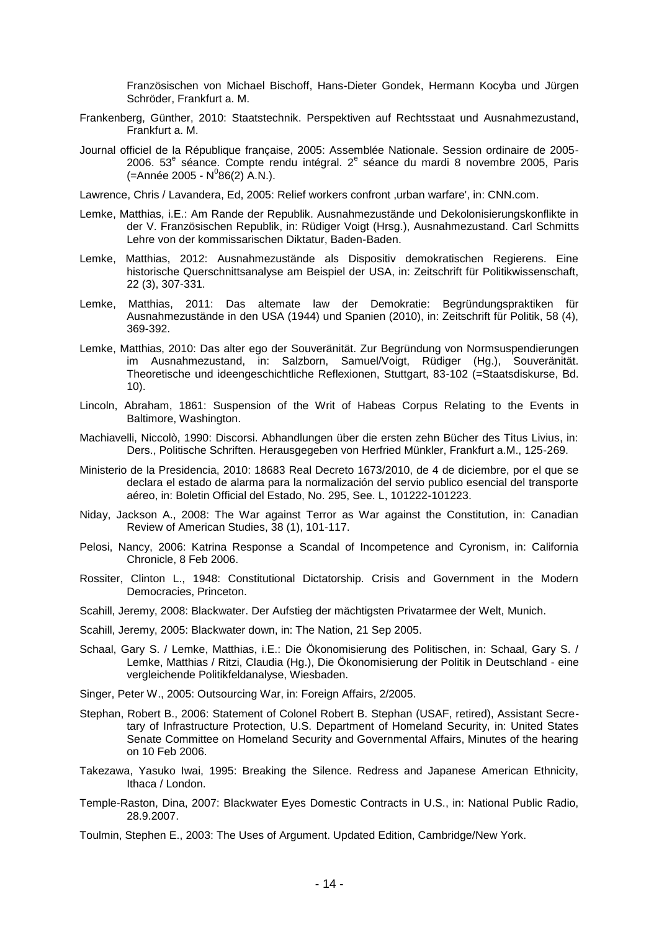Französischen von Michael Bischoff, Hans-Dieter Gondek, Hermann Kocyba und Jürgen Schröder, Frankfurt a. M.

- Frankenberg, Günther, 2010: Staatstechnik. Perspektiven auf Rechtsstaat und Ausnahmezustand, Frankfurt a. M.
- Journal officiel de la République française, 2005: Assemblée Nationale. Session ordinaire de 2005- 2006. 53<sup>e</sup> séance. Compte rendu intégral. 2<sup>e</sup> séance du mardi 8 novembre 2005, Paris (=Année 2005 - N<sup>0</sup>86(2) A.N.).

Lawrence, Chris / Lavandera, Ed, 2005: Relief workers confront ,urban warfare', in: CNN.com.

- Lemke, Matthias, i.E.: Am Rande der Republik. Ausnahmezustände und Dekolonisierungskonflikte in der V. Französischen Republik, in: Rüdiger Voigt (Hrsg.), Ausnahmezustand. Carl Schmitts Lehre von der kommissarischen Diktatur, Baden-Baden.
- Lemke, Matthias, 2012: Ausnahmezustände als Dispositiv demokratischen Regierens. Eine historische Querschnittsanalyse am Beispiel der USA, in: Zeitschrift für Politikwissenschaft, 22 (3), 307-331.
- Lemke, Matthias, 2011: Das altemate law der Demokratie: Begründungspraktiken für Ausnahmezustände in den USA (1944) und Spanien (2010), in: Zeitschrift für Politik, 58 (4), 369-392.
- Lemke, Matthias, 2010: Das alter ego der Souveränität. Zur Begründung von Normsuspendierungen im Ausnahmezustand, in: Salzborn, Samuel/Voigt, Rüdiger (Hg.), Souveränität. Theoretische und ideengeschichtliche Reflexionen, Stuttgart, 83-102 (=Staatsdiskurse, Bd. 10).
- Lincoln, Abraham, 1861: Suspension of the Writ of Habeas Corpus Relating to the Events in Baltimore, Washington.
- Machiavelli, Niccolò, 1990: Discorsi. Abhandlungen über die ersten zehn Bücher des Titus Livius, in: Ders., Politische Schriften. Herausgegeben von Herfried Münkler, Frankfurt a.M., 125-269.
- Ministerio de la Presidencia, 2010: 18683 Real Decreto 1673/2010, de 4 de diciembre, por el que se declara el estado de alarma para la normalización del servio publico esencial del transporte aéreo, in: Boletin Official del Estado, No. 295, See. L, 101222-101223.
- Niday, Jackson A., 2008: The War against Terror as War against the Constitution, in: Canadian Review of American Studies, 38 (1), 101-117.
- Pelosi, Nancy, 2006: Katrina Response a Scandal of Incompetence and Cyronism, in: California Chronicle, 8 Feb 2006.
- Rossiter, Clinton L., 1948: Constitutional Dictatorship. Crisis and Government in the Modern Democracies, Princeton.
- Scahill, Jeremy, 2008: Blackwater. Der Aufstieg der mächtigsten Privatarmee der Welt, Munich.
- Scahill, Jeremy, 2005: Blackwater down, in: The Nation, 21 Sep 2005.
- Schaal, Gary S. / Lemke, Matthias, i.E.: Die Ökonomisierung des Politischen, in: Schaal, Gary S. / Lemke, Matthias / Ritzi, Claudia (Hg.), Die Ökonomisierung der Politik in Deutschland - eine vergleichende Politikfeldanalyse, Wiesbaden.
- Singer, Peter W., 2005: Outsourcing War, in: Foreign Affairs, 2/2005.
- Stephan, Robert B., 2006: Statement of Colonel Robert B. Stephan (USAF, retired), Assistant Secretary of Infrastructure Protection, U.S. Department of Homeland Security, in: United States Senate Committee on Homeland Security and Governmental Affairs, Minutes of the hearing on 10 Feb 2006.
- Takezawa, Yasuko Iwai, 1995: Breaking the Silence. Redress and Japanese American Ethnicity, Ithaca / London.
- Temple-Raston, Dina, 2007: Blackwater Eyes Domestic Contracts in U.S., in: National Public Radio, 28.9.2007.
- Toulmin, Stephen E., 2003: The Uses of Argument. Updated Edition, Cambridge/New York.